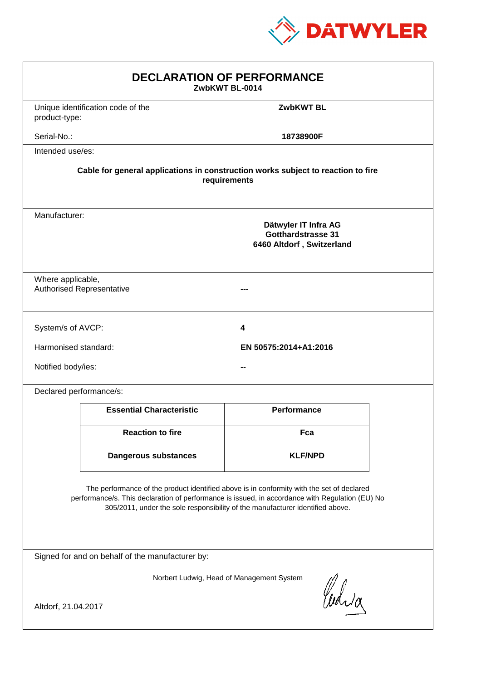

| <b>DECLARATION OF PERFORMANCE</b><br>ZwbKWT BL-0014                                                                                                                                                                                                                           |                                                                                                 |                       |  |
|-------------------------------------------------------------------------------------------------------------------------------------------------------------------------------------------------------------------------------------------------------------------------------|-------------------------------------------------------------------------------------------------|-----------------------|--|
| product-type:                                                                                                                                                                                                                                                                 | Unique identification code of the                                                               | <b>ZwbKWT BL</b>      |  |
| Serial-No.:                                                                                                                                                                                                                                                                   |                                                                                                 | 18738900F             |  |
| Intended use/es:                                                                                                                                                                                                                                                              |                                                                                                 |                       |  |
| Cable for general applications in construction works subject to reaction to fire<br>requirements                                                                                                                                                                              |                                                                                                 |                       |  |
|                                                                                                                                                                                                                                                                               | Manufacturer:<br>Dätwyler IT Infra AG<br><b>Gotthardstrasse 31</b><br>6460 Altdorf, Switzerland |                       |  |
| Where applicable,<br><b>Authorised Representative</b>                                                                                                                                                                                                                         |                                                                                                 |                       |  |
| System/s of AVCP:                                                                                                                                                                                                                                                             |                                                                                                 | 4                     |  |
| Harmonised standard:                                                                                                                                                                                                                                                          |                                                                                                 | EN 50575:2014+A1:2016 |  |
| Notified body/ies:                                                                                                                                                                                                                                                            |                                                                                                 |                       |  |
| Declared performance/s:                                                                                                                                                                                                                                                       |                                                                                                 |                       |  |
|                                                                                                                                                                                                                                                                               | <b>Essential Characteristic</b>                                                                 | <b>Performance</b>    |  |
|                                                                                                                                                                                                                                                                               | <b>Reaction to fire</b>                                                                         | Fca                   |  |
|                                                                                                                                                                                                                                                                               | <b>Dangerous substances</b>                                                                     | <b>KLF/NPD</b>        |  |
| The performance of the product identified above is in conformity with the set of declared<br>performance/s. This declaration of performance is issued, in accordance with Regulation (EU) No<br>305/2011, under the sole responsibility of the manufacturer identified above. |                                                                                                 |                       |  |
| Signed for and on behalf of the manufacturer by:                                                                                                                                                                                                                              |                                                                                                 |                       |  |
| Norbert Ludwig, Head of Management System<br>Curia                                                                                                                                                                                                                            |                                                                                                 |                       |  |
| Altdorf, 21.04.2017                                                                                                                                                                                                                                                           |                                                                                                 |                       |  |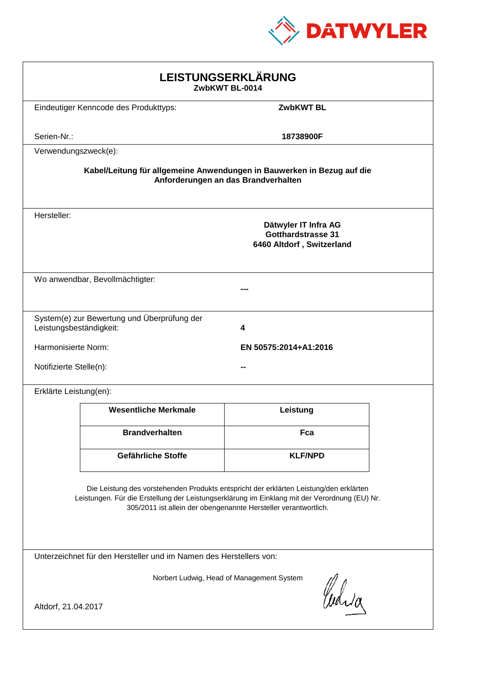

| LEISTUNGSERKLÄRUNG<br>ZwbKWT BL-0014                                                                                                                                                                                                                       |                                                                                |                  |  |
|------------------------------------------------------------------------------------------------------------------------------------------------------------------------------------------------------------------------------------------------------------|--------------------------------------------------------------------------------|------------------|--|
|                                                                                                                                                                                                                                                            | Eindeutiger Kenncode des Produkttyps:                                          | <b>ZwbKWT BL</b> |  |
| Serien-Nr.:                                                                                                                                                                                                                                                |                                                                                | 18738900F        |  |
| Verwendungszweck(e):                                                                                                                                                                                                                                       |                                                                                |                  |  |
| Kabel/Leitung für allgemeine Anwendungen in Bauwerken in Bezug auf die<br>Anforderungen an das Brandverhalten                                                                                                                                              |                                                                                |                  |  |
| Hersteller:                                                                                                                                                                                                                                                | Dätwyler IT Infra AG<br><b>Gotthardstrasse 31</b><br>6460 Altdorf, Switzerland |                  |  |
|                                                                                                                                                                                                                                                            | Wo anwendbar, Bevollmächtigter:                                                |                  |  |
| Leistungsbeständigkeit:                                                                                                                                                                                                                                    | System(e) zur Bewertung und Überprüfung der                                    | 4                |  |
| Harmonisierte Norm:<br>EN 50575:2014+A1:2016                                                                                                                                                                                                               |                                                                                |                  |  |
| Notifizierte Stelle(n):                                                                                                                                                                                                                                    |                                                                                |                  |  |
| Erklärte Leistung(en):                                                                                                                                                                                                                                     |                                                                                |                  |  |
|                                                                                                                                                                                                                                                            | <b>Wesentliche Merkmale</b>                                                    | Leistung         |  |
|                                                                                                                                                                                                                                                            | <b>Brandverhalten</b>                                                          | Fca              |  |
|                                                                                                                                                                                                                                                            | Gefährliche Stoffe                                                             | <b>KLF/NPD</b>   |  |
| Die Leistung des vorstehenden Produkts entspricht der erklärten Leistung/den erklärten<br>Leistungen. Für die Erstellung der Leistungserklärung im Einklang mit der Verordnung (EU) Nr.<br>305/2011 ist allein der obengenannte Hersteller verantwortlich. |                                                                                |                  |  |
| Unterzeichnet für den Hersteller und im Namen des Herstellers von:                                                                                                                                                                                         |                                                                                |                  |  |
| Norbert Ludwig, Head of Management System<br>Curia<br>Altdorf, 21.04.2017                                                                                                                                                                                  |                                                                                |                  |  |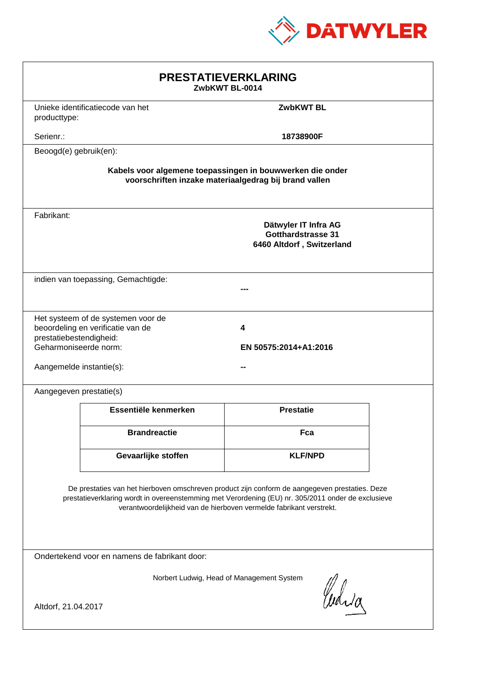

| <b>PRESTATIEVERKLARING</b><br>ZwbKWT BL-0014                                                                                                                                                                                                                                |                                                                         |                                                                                |  |
|-----------------------------------------------------------------------------------------------------------------------------------------------------------------------------------------------------------------------------------------------------------------------------|-------------------------------------------------------------------------|--------------------------------------------------------------------------------|--|
| producttype:                                                                                                                                                                                                                                                                | Unieke identificatiecode van het                                        | <b>ZwbKWT BL</b>                                                               |  |
| Serienr.:                                                                                                                                                                                                                                                                   |                                                                         | 18738900F                                                                      |  |
| Beoogd(e) gebruik(en):                                                                                                                                                                                                                                                      |                                                                         |                                                                                |  |
| Kabels voor algemene toepassingen in bouwwerken die onder<br>voorschriften inzake materiaalgedrag bij brand vallen                                                                                                                                                          |                                                                         |                                                                                |  |
| Fabrikant:                                                                                                                                                                                                                                                                  |                                                                         | Dätwyler IT Infra AG<br><b>Gotthardstrasse 31</b><br>6460 Altdorf, Switzerland |  |
| indien van toepassing, Gemachtigde:                                                                                                                                                                                                                                         |                                                                         |                                                                                |  |
| prestatiebestendigheid:<br>Geharmoniseerde norm:<br>Aangemelde instantie(s):                                                                                                                                                                                                | Het systeem of de systemen voor de<br>beoordeling en verificatie van de | 4<br>EN 50575:2014+A1:2016                                                     |  |
| Aangegeven prestatie(s)                                                                                                                                                                                                                                                     |                                                                         |                                                                                |  |
|                                                                                                                                                                                                                                                                             | Essentiële kenmerken                                                    | <b>Prestatie</b>                                                               |  |
|                                                                                                                                                                                                                                                                             | <b>Brandreactie</b>                                                     | Fca                                                                            |  |
|                                                                                                                                                                                                                                                                             | Gevaarlijke stoffen                                                     | <b>KLF/NPD</b>                                                                 |  |
| De prestaties van het hierboven omschreven product zijn conform de aangegeven prestaties. Deze<br>prestatieverklaring wordt in overeenstemming met Verordening (EU) nr. 305/2011 onder de exclusieve<br>verantwoordelijkheid van de hierboven vermelde fabrikant verstrekt. |                                                                         |                                                                                |  |
| Ondertekend voor en namens de fabrikant door:                                                                                                                                                                                                                               |                                                                         |                                                                                |  |
| Norbert Ludwig, Head of Management System<br>Curia<br>Altdorf, 21.04.2017                                                                                                                                                                                                   |                                                                         |                                                                                |  |
|                                                                                                                                                                                                                                                                             |                                                                         |                                                                                |  |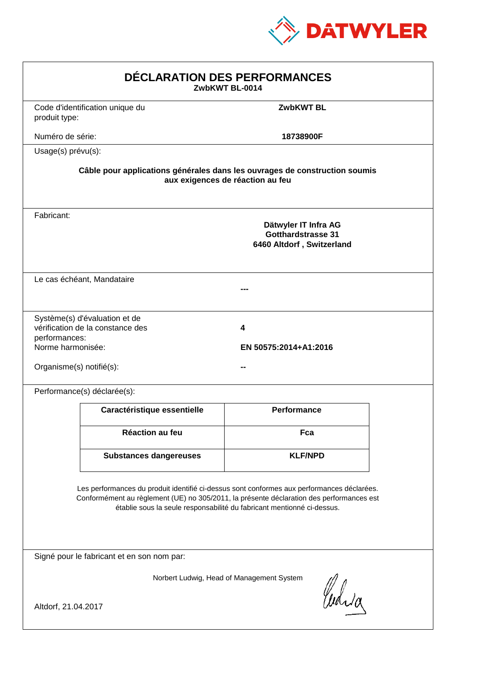

| DÉCLARATION DES PERFORMANCES<br>ZwbKWT BL-0014                 |                                                                   |                                                                                                                                                                                                                                                                  |  |
|----------------------------------------------------------------|-------------------------------------------------------------------|------------------------------------------------------------------------------------------------------------------------------------------------------------------------------------------------------------------------------------------------------------------|--|
| produit type:                                                  | Code d'identification unique du                                   | <b>ZwbKWT BL</b>                                                                                                                                                                                                                                                 |  |
| Numéro de série:                                               |                                                                   | 18738900F                                                                                                                                                                                                                                                        |  |
| Usage(s) prévu(s):                                             |                                                                   |                                                                                                                                                                                                                                                                  |  |
|                                                                |                                                                   | Câble pour applications générales dans les ouvrages de construction soumis<br>aux exigences de réaction au feu                                                                                                                                                   |  |
| Fabricant:                                                     |                                                                   | Dätwyler IT Infra AG<br><b>Gotthardstrasse 31</b><br>6460 Altdorf, Switzerland                                                                                                                                                                                   |  |
|                                                                | Le cas échéant, Mandataire                                        |                                                                                                                                                                                                                                                                  |  |
| performances:<br>Norme harmonisée:<br>Organisme(s) notifié(s): | Système(s) d'évaluation et de<br>vérification de la constance des | 4<br>EN 50575:2014+A1:2016                                                                                                                                                                                                                                       |  |
|                                                                | Performance(s) déclarée(s):                                       |                                                                                                                                                                                                                                                                  |  |
|                                                                | Caractéristique essentielle                                       | <b>Performance</b>                                                                                                                                                                                                                                               |  |
|                                                                | <b>Réaction au feu</b>                                            | Fca                                                                                                                                                                                                                                                              |  |
|                                                                | <b>Substances dangereuses</b>                                     | <b>KLF/NPD</b>                                                                                                                                                                                                                                                   |  |
|                                                                |                                                                   | Les performances du produit identifié ci-dessus sont conformes aux performances déclarées.<br>Conformément au règlement (UE) no 305/2011, la présente déclaration des performances est<br>établie sous la seule responsabilité du fabricant mentionné ci-dessus. |  |
|                                                                | Signé pour le fabricant et en son nom par:                        |                                                                                                                                                                                                                                                                  |  |
| Altdorf, 21.04.2017                                            |                                                                   | Norbert Ludwig, Head of Management System<br>Curia                                                                                                                                                                                                               |  |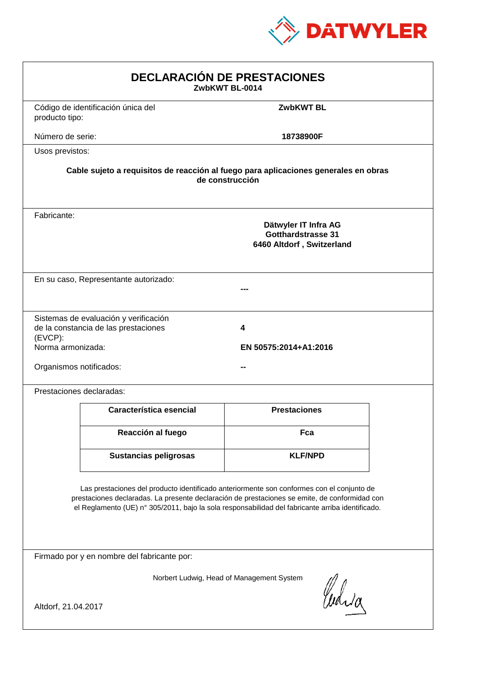

| <b>DECLARACIÓN DE PRESTACIONES</b><br>ZwbKWT BL-0014                                                                                                                                                                                                                                           |                                                                                                        |                            |  |  |
|------------------------------------------------------------------------------------------------------------------------------------------------------------------------------------------------------------------------------------------------------------------------------------------------|--------------------------------------------------------------------------------------------------------|----------------------------|--|--|
| producto tipo:                                                                                                                                                                                                                                                                                 | Código de identificación única del                                                                     | <b>ZwbKWT BL</b>           |  |  |
| Número de serie:                                                                                                                                                                                                                                                                               |                                                                                                        | 18738900F                  |  |  |
| Usos previstos:                                                                                                                                                                                                                                                                                |                                                                                                        |                            |  |  |
|                                                                                                                                                                                                                                                                                                | Cable sujeto a requisitos de reacción al fuego para aplicaciones generales en obras<br>de construcción |                            |  |  |
| Fabricante:                                                                                                                                                                                                                                                                                    | Dätwyler IT Infra AG<br><b>Gotthardstrasse 31</b><br>6460 Altdorf, Switzerland                         |                            |  |  |
|                                                                                                                                                                                                                                                                                                | En su caso, Representante autorizado:                                                                  |                            |  |  |
| (EVCP):<br>Norma armonizada:<br>Organismos notificados:                                                                                                                                                                                                                                        | Sistemas de evaluación y verificación<br>de la constancia de las prestaciones                          | 4<br>EN 50575:2014+A1:2016 |  |  |
|                                                                                                                                                                                                                                                                                                | Prestaciones declaradas:                                                                               |                            |  |  |
|                                                                                                                                                                                                                                                                                                | Característica esencial                                                                                | <b>Prestaciones</b>        |  |  |
|                                                                                                                                                                                                                                                                                                | Reacción al fuego                                                                                      | Fca                        |  |  |
|                                                                                                                                                                                                                                                                                                | <b>Sustancias peligrosas</b>                                                                           | <b>KLF/NPD</b>             |  |  |
| Las prestaciones del producto identificado anteriormente son conformes con el conjunto de<br>prestaciones declaradas. La presente declaración de prestaciones se emite, de conformidad con<br>el Reglamento (UE) nº 305/2011, bajo la sola responsabilidad del fabricante arriba identificado. |                                                                                                        |                            |  |  |
|                                                                                                                                                                                                                                                                                                | Firmado por y en nombre del fabricante por:                                                            |                            |  |  |
| Norbert Ludwig, Head of Management System<br>Curia                                                                                                                                                                                                                                             |                                                                                                        |                            |  |  |
| Altdorf, 21.04.2017                                                                                                                                                                                                                                                                            |                                                                                                        |                            |  |  |